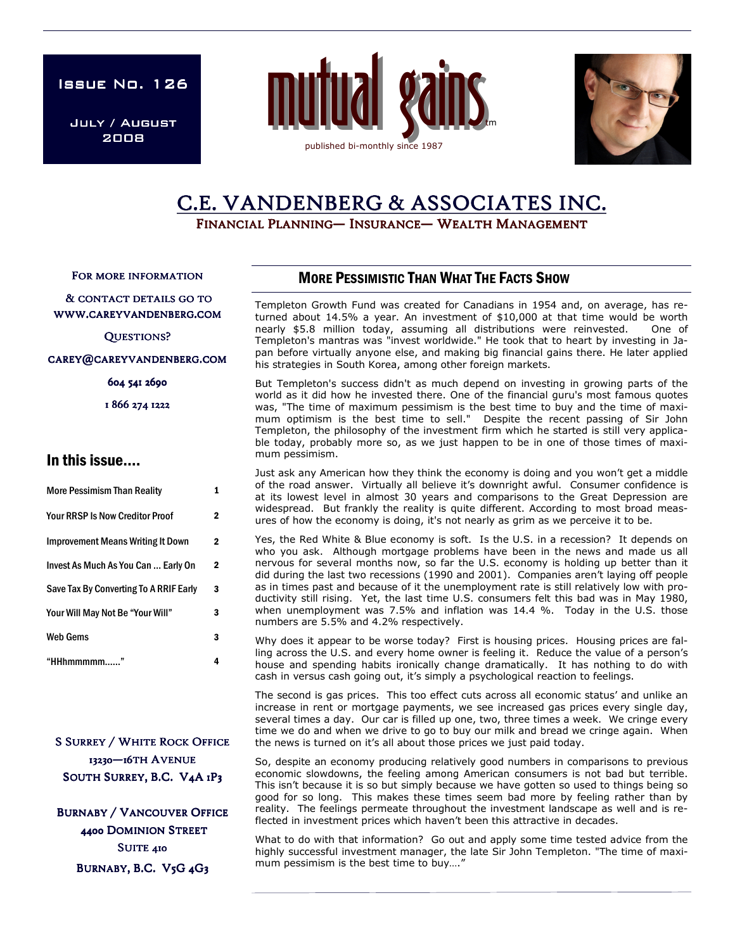ISSUE No. 126

July / August 2008





# C.E. VANDENBERG & ASSOCIATES INC.

FINANCIAL PLANNING— INSURANCE— WEALTH MANAGEMENT

FOR MORE INFORMATION

#### & CONTACT DETAILS GO TO WWW.CAREYVANDENBERG.COM

QUESTIONS?

#### CAREY@CAREYVANDENBERG.COM

604 541 2690

1 866 274 1222

## In this issue….

| <b>More Pessimism Than Reality</b>       |   |
|------------------------------------------|---|
| <b>Your RRSP Is Now Creditor Proof</b>   | 2 |
| <b>Improvement Means Writing It Down</b> | 2 |
| Invest As Much As You Can  Early On      | 2 |
| Save Tax By Converting To A RRIF Early   | 3 |
| Your Will May Not Be "Your Will"         | 3 |
| <b>Web Gems</b>                          | 3 |
| "HHhmmmmm                                |   |

**S SURREY / WHITE ROCK OFFICE** 13230-16TH AVENUE SOUTH SURREY, B.C. V4A 1P3

**BURNABY / VANCOUVER OFFICE** 4400 DOMINION STREET SUITE 410 BURNABY, B.C. V5G 4G3

## MORE PESSIMISTIC THAN WHAT THE FACTS SHOW

Templeton Growth Fund was created for Canadians in 1954 and, on average, has returned about 14.5% a year. An investment of \$10,000 at that time would be worth nearly \$5.8 million today, assuming all distributions were reinvested. One of Templeton's mantras was "invest worldwide." He took that to heart by investing in Japan before virtually anyone else, and making big financial gains there. He later applied his strategies in South Korea, among other foreign markets.

But Templeton's success didn't as much depend on investing in growing parts of the world as it did how he invested there. One of the financial guru's most famous quotes was, "The time of maximum pessimism is the best time to buy and the time of maximum optimism is the best time to sell." Despite the recent passing of Sir John Templeton, the philosophy of the investment firm which he started is still very applicable today, probably more so, as we just happen to be in one of those times of maximum pessimism.

Just ask any American how they think the economy is doing and you won't get a middle of the road answer. Virtually all believe it's downright awful. Consumer confidence is at its lowest level in almost 30 years and comparisons to the Great Depression are widespread. But frankly the reality is quite different. According to most broad measures of how the economy is doing, it's not nearly as grim as we perceive it to be.

Yes, the Red White & Blue economy is soft. Is the U.S. in a recession? It depends on who you ask. Although mortgage problems have been in the news and made us all nervous for several months now, so far the U.S. economy is holding up better than it did during the last two recessions (1990 and 2001). Companies aren't laying off people as in times past and because of it the unemployment rate is still relatively low with productivity still rising. Yet, the last time U.S. consumers felt this bad was in May 1980, when unemployment was 7.5% and inflation was 14.4 %. Today in the U.S. those numbers are 5.5% and 4.2% respectively.

Why does it appear to be worse today? First is housing prices. Housing prices are falling across the U.S. and every home owner is feeling it. Reduce the value of a person's house and spending habits ironically change dramatically. It has nothing to do with cash in versus cash going out, it's simply a psychological reaction to feelings.

The second is gas prices. This too effect cuts across all economic status' and unlike an increase in rent or mortgage payments, we see increased gas prices every single day, several times a day. Our car is filled up one, two, three times a week. We cringe every time we do and when we drive to go to buy our milk and bread we cringe again. When the news is turned on it's all about those prices we just paid today.

So, despite an economy producing relatively good numbers in comparisons to previous economic slowdowns, the feeling among American consumers is not bad but terrible. This isn't because it is so but simply because we have gotten so used to things being so good for so long. This makes these times seem bad more by feeling rather than by reality. The feelings permeate throughout the investment landscape as well and is reflected in investment prices which haven't been this attractive in decades.

What to do with that information? Go out and apply some time tested advice from the highly successful investment manager, the late Sir John Templeton. "The time of maximum pessimism is the best time to buy…."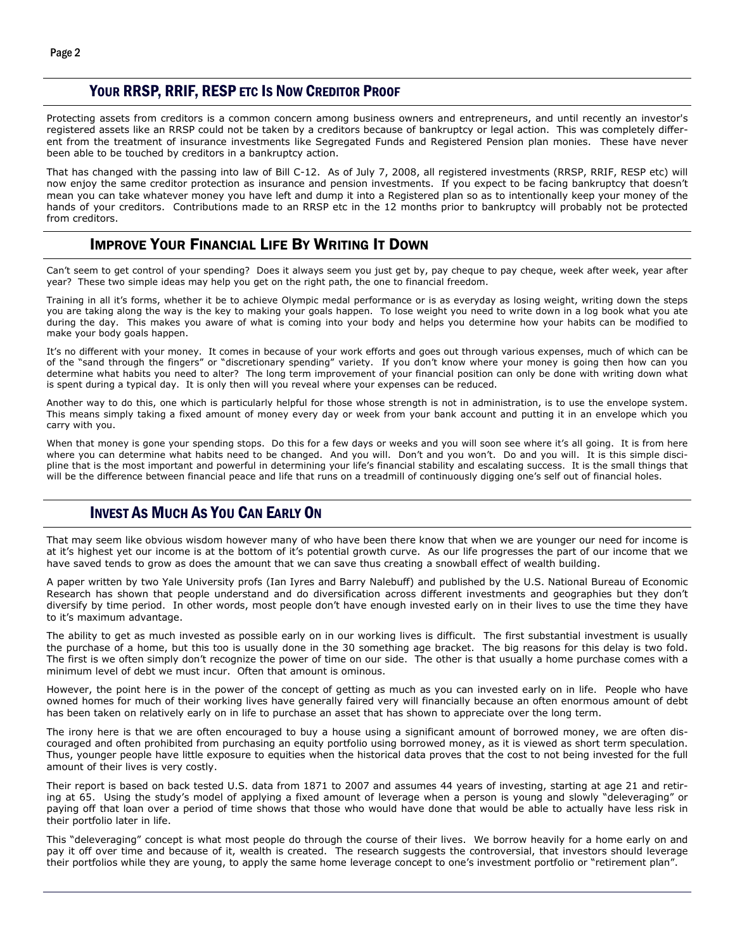#### YOUR RRSP, RRIF, RESP ETC IS NOW CREDITOR PROOF

Protecting assets from creditors is a common concern among business owners and entrepreneurs, and until recently an investor's registered assets like an RRSP could not be taken by a creditors because of bankruptcy or legal action. This was completely different from the treatment of insurance investments like Segregated Funds and Registered Pension plan monies. These have never been able to be touched by creditors in a bankruptcy action.

That has changed with the passing into law of Bill C-12. As of July 7, 2008, all registered investments (RRSP, RRIF, RESP etc) will now enjoy the same creditor protection as insurance and pension investments. If you expect to be facing bankruptcy that doesn't mean you can take whatever money you have left and dump it into a Registered plan so as to intentionally keep your money of the hands of your creditors. Contributions made to an RRSP etc in the 12 months prior to bankruptcy will probably not be protected from creditors.

## IMPROVE YOUR FINANCIAL LIFE BY WRITING IT DOWN

Can't seem to get control of your spending? Does it always seem you just get by, pay cheque to pay cheque, week after week, year after year? These two simple ideas may help you get on the right path, the one to financial freedom.

Training in all it's forms, whether it be to achieve Olympic medal performance or is as everyday as losing weight, writing down the steps you are taking along the way is the key to making your goals happen. To lose weight you need to write down in a log book what you ate during the day. This makes you aware of what is coming into your body and helps you determine how your habits can be modified to make your body goals happen.

It's no different with your money. It comes in because of your work efforts and goes out through various expenses, much of which can be of the "sand through the fingers" or "discretionary spending" variety. If you don't know where your money is going then how can you determine what habits you need to alter? The long term improvement of your financial position can only be done with writing down what is spent during a typical day. It is only then will you reveal where your expenses can be reduced.

Another way to do this, one which is particularly helpful for those whose strength is not in administration, is to use the envelope system. This means simply taking a fixed amount of money every day or week from your bank account and putting it in an envelope which you carry with you.

When that money is gone your spending stops. Do this for a few days or weeks and you will soon see where it's all going. It is from here where you can determine what habits need to be changed. And you will. Don't and you won't. Do and you will. It is this simple discipline that is the most important and powerful in determining your life's financial stability and escalating success. It is the small things that will be the difference between financial peace and life that runs on a treadmill of continuously digging one's self out of financial holes.

## INVEST AS MUCH AS YOU CAN EARLY ON

That may seem like obvious wisdom however many of who have been there know that when we are younger our need for income is at it's highest yet our income is at the bottom of it's potential growth curve. As our life progresses the part of our income that we have saved tends to grow as does the amount that we can save thus creating a snowball effect of wealth building.

A paper written by two Yale University profs (Ian Iyres and Barry Nalebuff) and published by the U.S. National Bureau of Economic Research has shown that people understand and do diversification across different investments and geographies but they don't diversify by time period. In other words, most people don't have enough invested early on in their lives to use the time they have to it's maximum advantage.

The ability to get as much invested as possible early on in our working lives is difficult. The first substantial investment is usually the purchase of a home, but this too is usually done in the 30 something age bracket. The big reasons for this delay is two fold. The first is we often simply don't recognize the power of time on our side. The other is that usually a home purchase comes with a minimum level of debt we must incur. Often that amount is ominous.

However, the point here is in the power of the concept of getting as much as you can invested early on in life. People who have owned homes for much of their working lives have generally faired very will financially because an often enormous amount of debt has been taken on relatively early on in life to purchase an asset that has shown to appreciate over the long term.

The irony here is that we are often encouraged to buy a house using a significant amount of borrowed money, we are often discouraged and often prohibited from purchasing an equity portfolio using borrowed money, as it is viewed as short term speculation. Thus, younger people have little exposure to equities when the historical data proves that the cost to not being invested for the full amount of their lives is very costly.

Their report is based on back tested U.S. data from 1871 to 2007 and assumes 44 years of investing, starting at age 21 and retiring at 65. Using the study's model of applying a fixed amount of leverage when a person is young and slowly "deleveraging" or paying off that loan over a period of time shows that those who would have done that would be able to actually have less risk in their portfolio later in life.

This "deleveraging" concept is what most people do through the course of their lives. We borrow heavily for a home early on and pay it off over time and because of it, wealth is created. The research suggests the controversial, that investors should leverage their portfolios while they are young, to apply the same home leverage concept to one's investment portfolio or "retirement plan".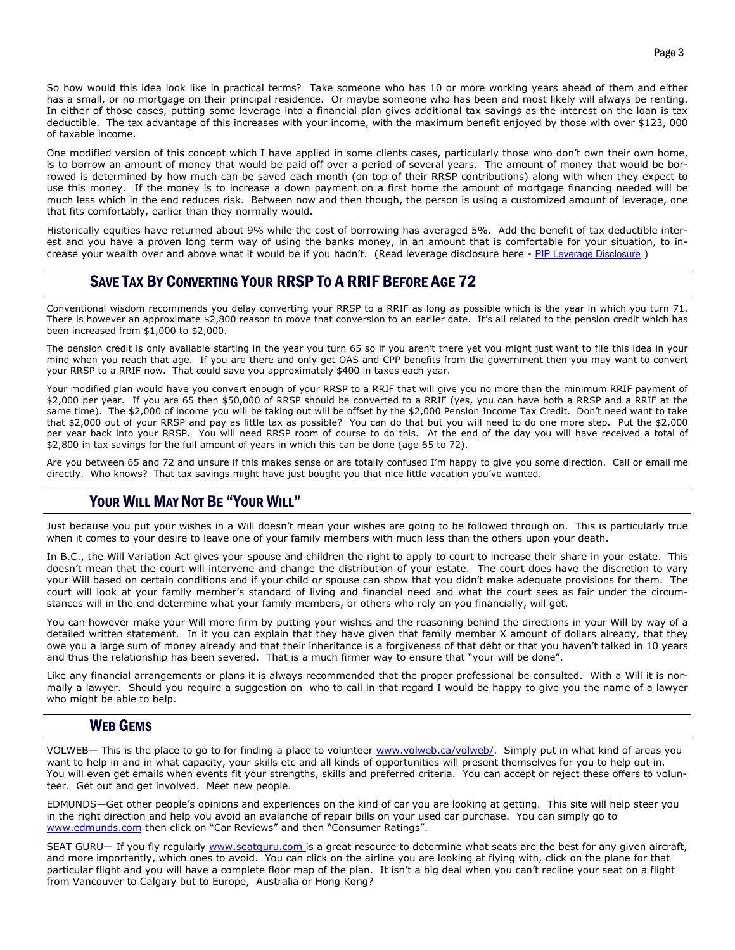So how would this idea look like in practical terms? Take someone who has 10 or more working years ahead of them and either has a small, or no mortgage on their principal residence. Or maybe someone who has been and most likely will always be renting. In either of those cases, putting some leverage into a financial plan gives additional tax savings as the interest on the loan is tax deductible. The tax advantage of this increases with your income, with the maximum benefit enjoyed by those with over \$123, 000 of taxable income.

One modified version of this concept which I have applied in some clients cases, particularly those who don't own their own home, is to borrow an amount of money that would be paid off over a period of several years. The amount of money that would be borrowed is determined by how much can be saved each month (on top of their RRSP contributions) along with when they expect to use this money. If the money is to increase a down payment on a first home the amount of mortgage financing needed will be much less which in the end reduces risk. Between now and then though, the person is using a customized amount of leverage, one that fits comfortably, earlier than they normally would.

Historically equities have returned about 9% while the cost of borrowing has averaged 5%. Add the benefit of tax deductible interest and you have a proven long term way of using the banks money, in an amount that is comfortable for your situation, to increase your wealth over and above what it would be if you hadn't. (Read leverage disclosure here - PIP Leverage Disclosure )

# SAVE TAX BY CONVERTING YOUR RRSP TO A RRIF BEFORE AGE 72

Conventional wisdom recommends you delay converting your RRSP to a RRIF as long as possible which is the year in which you turn 71. There is however an approximate \$2,800 reason to move that conversion to an earlier date. It's all related to the pension credit which has been increased from \$1,000 to \$2,000.

The pension credit is only available starting in the year you turn 65 so if you aren't there yet you might just want to file this idea in your mind when you reach that age. If you are there and only get OAS and CPP benefits from the government then you may want to convert your RRSP to a RRIF now. That could save you approximately \$400 in taxes each year.

Your modified plan would have you convert enough of your RRSP to a RRIF that will give you no more than the minimum RRIF payment of \$2,000 per year. If you are 65 then \$50,000 of RRSP should be converted to a RRIF (yes, you can have both a RRSP and a RRIF at the same time). The \$2,000 of income you will be taking out will be offset by the \$2,000 Pension Income Tax Credit. Don't need want to take that \$2,000 out of your RRSP and pay as little tax as possible? You can do that but you will need to do one more step. Put the \$2,000 per year back into your RRSP. You will need RRSP room of course to do this. At the end of the day you will have received a total of \$2,800 in tax savings for the full amount of years in which this can be done (age 65 to 72).

Are you between 65 and 72 and unsure if this makes sense or are totally confused I'm happy to give you some direction. Call or email me directly. Who knows? That tax savings might have just bought you that nice little vacation you've wanted.

## YOUR WILL MAY NOT BE "YOUR WILL"

Just because you put your wishes in a Will doesn't mean your wishes are going to be followed through on. This is particularly true when it comes to your desire to leave one of your family members with much less than the others upon your death.

In B.C., the Will Variation Act gives your spouse and children the right to apply to court to increase their share in your estate. This doesn't mean that the court will intervene and change the distribution of your estate. The court does have the discretion to vary your Will based on certain conditions and if your child or spouse can show that you didn't make adequate provisions for them. The court will look at your family member's standard of living and financial need and what the court sees as fair under the circumstances will in the end determine what your family members, or others who rely on you financially, will get.

You can however make your Will more firm by putting your wishes and the reasoning behind the directions in your Will by way of a detailed written statement. In it you can explain that they have given that family member X amount of dollars already, that they owe you a large sum of money already and that their inheritance is a forgiveness of that debt or that you haven't talked in 10 years and thus the relationship has been severed. That is a much firmer way to ensure that "your will be done".

Like any financial arrangements or plans it is always recommended that the proper professional be consulted. With a Will it is normally a lawyer. Should you require a suggestion on who to call in that regard I would be happy to give you the name of a lawyer who might be able to help.

#### WEB GEMS

VOLWEB— This is the place to go to for finding a place to volunteer www.volweb.ca/volweb/. Simply put in what kind of areas you want to help in and in what capacity, your skills etc and all kinds of opportunities will present themselves for you to help out in. You will even get emails when events fit your strengths, skills and preferred criteria. You can accept or reject these offers to volunteer. Get out and get involved. Meet new people.

EDMUNDS—Get other people's opinions and experiences on the kind of car you are looking at getting. This site will help steer you in the right direction and help you avoid an avalanche of repair bills on your used car purchase. You can simply go to www.edmunds.com then click on "Car Reviews" and then "Consumer Ratings".

SEAT GURU— If you fly regularly www.seatguru.com is a great resource to determine what seats are the best for any given aircraft, and more importantly, which ones to avoid. You can click on the airline you are looking at flying with, click on the plane for that particular flight and you will have a complete floor map of the plan. It isn't a big deal when you can't recline your seat on a flight from Vancouver to Calgary but to Europe, Australia or Hong Kong?